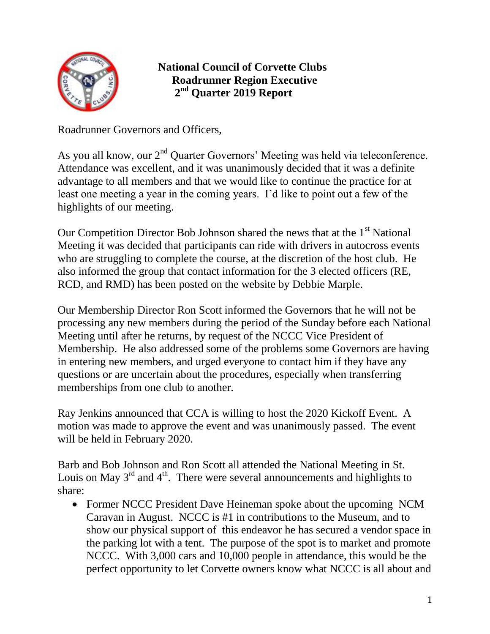

## **National Council of Corvette Clubs Roadrunner Region Executive 2 nd Quarter 2019 Report**

Roadrunner Governors and Officers,

As you all know, our  $2<sup>nd</sup>$  Quarter Governors' Meeting was held via teleconference. Attendance was excellent, and it was unanimously decided that it was a definite advantage to all members and that we would like to continue the practice for at least one meeting a year in the coming years. I'd like to point out a few of the highlights of our meeting.

Our Competition Director Bob Johnson shared the news that at the 1<sup>st</sup> National Meeting it was decided that participants can ride with drivers in autocross events who are struggling to complete the course, at the discretion of the host club. He also informed the group that contact information for the 3 elected officers (RE, RCD, and RMD) has been posted on the website by Debbie Marple.

Our Membership Director Ron Scott informed the Governors that he will not be processing any new members during the period of the Sunday before each National Meeting until after he returns, by request of the NCCC Vice President of Membership. He also addressed some of the problems some Governors are having in entering new members, and urged everyone to contact him if they have any questions or are uncertain about the procedures, especially when transferring memberships from one club to another.

Ray Jenkins announced that CCA is willing to host the 2020 Kickoff Event. A motion was made to approve the event and was unanimously passed. The event will be held in February 2020.

Barb and Bob Johnson and Ron Scott all attended the National Meeting in St. Louis on May  $3<sup>rd</sup>$  and  $4<sup>th</sup>$ . There were several announcements and highlights to share:

• Former NCCC President Dave Heineman spoke about the upcoming NCM Caravan in August. NCCC is #1 in contributions to the Museum, and to show our physical support of this endeavor he has secured a vendor space in the parking lot with a tent. The purpose of the spot is to market and promote NCCC. With 3,000 cars and 10,000 people in attendance, this would be the perfect opportunity to let Corvette owners know what NCCC is all about and